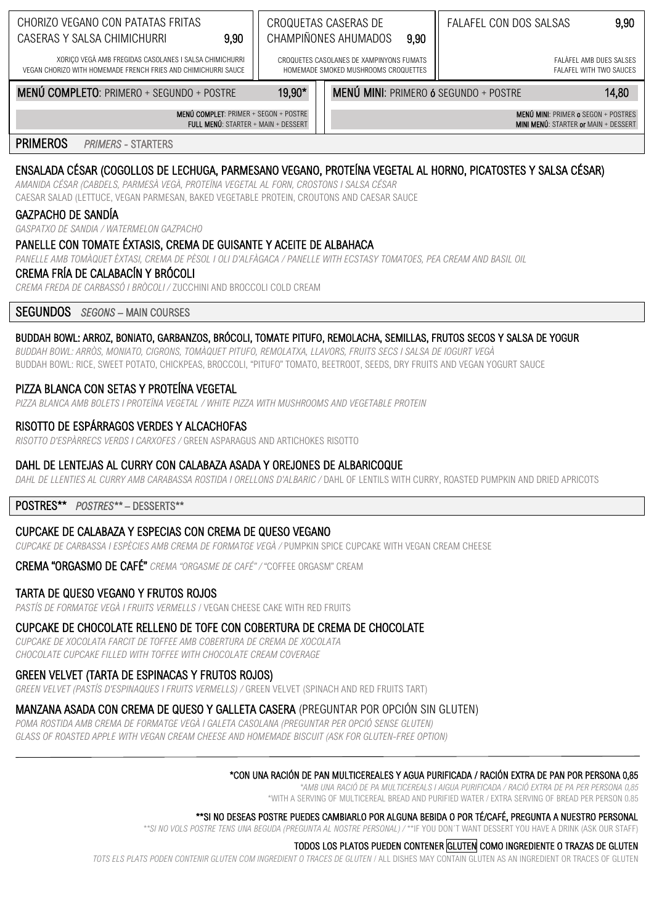| CHORIZO VEGANO CON PATATAS FRITAS<br>9,90<br>CASERAS Y SALSA CHIMICHURRI                                                 |                                                                                  | CROQUETAS CASERAS DE<br>CHAMPIÑONES AHUMADOS<br>9,90 | FALAFEL CON DOS SALSAS                             | 9,90  |
|--------------------------------------------------------------------------------------------------------------------------|----------------------------------------------------------------------------------|------------------------------------------------------|----------------------------------------------------|-------|
| XORIÇO VEGÀ AMB FREGIDAS CASOLANES I SALSA CHIMICHURRI<br>VEGAN CHORIZO WITH HOMEMADE FRENCH FRIES AND CHIMICHURRI SAUCE | CROQUETES CASOLANES DE XAMPINYONS FUMATS<br>HOMEMADE SMOKED MUSHROOMS CROQUETTES |                                                      | FALAFEL AMB DUES SALSES<br>FALAFEL WITH TWO SAUCES |       |
| <b>MENÚ COMPLETO: PRIMERO + SEGUNDO + POSTRE</b>                                                                         | 19,90*                                                                           | <b>MENÚ MINI: PRIMERO 6 SEGUNDO + POSTRE</b>         |                                                    | 14,80 |

MENÚ MINI: PRIMER o SEGON + POSTRES MINI MENU: STARTER or MAIN + DESSERT

**PRIMEROS PRIMERS - STARTERS** 

# ENSALADA CÉSAR (COGOLLOS DE LECHUGA, PARMESANO VEGANO, PROTEÍNA VEGETAL AL HORNO, PICATOSTES Y SALSA CÉSAR)

AMANIDA CÉSAR (CABDELS, PARMESÀ VEGÀ, PROTEÏNA VEGETAL AL FORN, CROSTONS I SALSA CÉSAR CAESAR SALAD (LETTUCE, VEGAN PARMESAN, BAKED VEGETABLE PROTEIN, CROUTONS AND CAESAR SAUCE

MENÚ COMPLET: PRIMER + SEGON + POSTRE

FULL MENÚ: STARTER + MAIN + DESSERT

# **GAZPACHO DE SANDÍA**

GASPATXO DE SANDIA / WATERMELON GAZPACHO

# PANELLE CON TOMATE ÉXTASIS, CREMA DE GUISANTE Y ACEITE DE ALBAHACA

PANELLE AMB TOMÀQUET ÈXTASI, CREMA DE PÈSOL I OLI D'ALFÀGACA / PANELLE WITH ECSTASY TOMATOES, PEA CREAM AND BASIL OIL

# CREMA FRÍA DE CALABACÍN Y BRÓCOLI

CREMA EREDA DE CARBASSÓ I BRÒCOLL/ 711CCHINI AND BROCCOLL COLD CREAM

# **SEGUNDOS** SEGONS - MAIN COURSES

#### BUDDAH BOWL: ARROZ, BONIATO, GARBANZOS, BRÓCOLI, TOMATE PITUFO, REMOLACHA, SEMILLAS, FRUTOS SECOS Y SALSA DE YOGUR

BUDDAH BOWL: ARRÒS, MONIATO, CIGRONS, TOMÀQUET PITUFO, REMOLATXA, LLAVORS, FRUITS SECS I SALSA DE IOGURT VEGÀ BUDDAH BOWL: RICE, SWEET POTATO, CHICKPEAS, BROCCOLI, "PITUFO" TOMATO, BEETROOT, SEEDS, DRY FRUITS AND VEGAN YOGURT SAUCE

#### PIZZA BLANCA CON SETAS Y PROTEÍNA VEGETAL

PIZZA BLANCA AMB BOLETS I PROTEÏNA VEGETAL / WHITE PIZZA WITH MUSHROOMS AND VEGETABLE PROTEIN

#### RISOTTO DE ESPÁRRAGOS VERDES Y ALCACHOFAS

RISOTTO D'ESPÀRRECS VERDS I CARXOFES / GREEN ASPARAGUS AND ARTICHOKES RISOTTO

#### DAHL DE LENTEJAS AL CURRY CON CALABAZA ASADA Y OREJONES DE ALBARICOQUE

DAHL DE LLENTIES AL CURRY AMB CARABASSA ROSTIDA I ORELLONS D'ALBARIC / DAHL OF LENTILS WITH CURRY, ROASTED PUMPKIN AND DRIED APRICOTS

#### POSTRES\*\* POSTRES\*\*- DESSERTS\*\*

# CUPCAKE DE CALABAZA Y ESPECIAS CON CREMA DE QUESO VEGANO

CUPCAKE DE CARBASSA I ESPÈCIES AMB CREMA DE FORMATGE VEGÀ / PUMPKIN SPICE CUPCAKE WITH VEGAN CREAM CHEESE

**CREMA "ORGASMO DE CAFÉ"** CREMA "ORGASME DE CAFÉ" / "COFFEE ORGASM" CREAM

# TARTA DE QUESO VEGANO Y FRUTOS ROJOS

PASTÍS DE FORMATGE VEGÀ I FRUITS VERMELLS / VEGAN CHEESE CAKE WITH RED FRUITS

#### CUPCAKE DE CHOCOLATE RELLENO DE TOFE CON COBERTURA DE CREMA DE CHOCOLATE

CUPCAKE DE XOCOLATA FARCIT DE TOFFEE AMB COBERTURA DE CREMA DE XOCOLATA CHOCOLATE CUPCAKE FILLED WITH TOFFEE WITH CHOCOLATE CREAM COVERAGE

#### GREEN VELVET (TARTA DE ESPINACAS Y FRUTOS ROJOS)

GREEN VELVET (PASTÍS D'ESPINAQUES I FRUITS VERMELLS) / GREEN VELVET (SPINACH AND RED FRUITS TART)

# MANZANA ASADA CON CREMA DE QUESO Y GALLETA CASERA (PREGUNTAR POR OPCIÓN SIN GLUTEN)

POMA ROSTIDA AMB CREMA DE FORMATGE VEGÀ I GALETA CASOLANA (PREGUNTAR PER OPCIÓ SENSE GLUTEN) GLASS OF ROASTED APPLE WITH VEGAN CREAM CHEESE AND HOMEMADE BISCUIT (ASK FOR GLUTEN-FREE OPTION)

#### \*CON UNA RACIÓN DE PAN MULTICEREALES Y AGUA PURIFICADA / RACIÓN EXTRA DE PAN POR PERSONA 0.85

\*AMB UNA RACIÓ DE PA MULTICEREALS I AIGUA PURIFICADA / RACIÓ EXTRA DE PA PER PERSONA 0,85

\*WITH A SERVING OF MULTICEREAL BREAD AND PURIFIED WATER / EXTRA SERVING OF BREAD PER PERSON 0.85

#### \*\*SI NO DESEAS POSTRE PUEDES CAMBIARLO POR ALGUNA BEBIDA O POR TÉ/CAFÉ. PREGUNTA A NUESTRO PERSONAL

\*\*SI NO VOLS POSTRE TENS UNA BEGUDA (PREGUNTA AL NOSTRE PERSONAL) / \*\*IE YOU DON'T WANT DESSERT YOU HAVE A DRINK (ASK OUR STAFF)

#### TODOS LOS PLATOS PUEDEN CONTENER GLUTEN COMO INGREDIENTE O TRAZAS DE GLUTEN

TOTS ELS PLATS PODEN CONTENIR GLUTEN COM INGREDIENT O TRACES DE GLUTEN / ALL DISHES MAY CONTAIN GLUTEN AS AN INGREDIENT OR TRACES OF GLUTEN